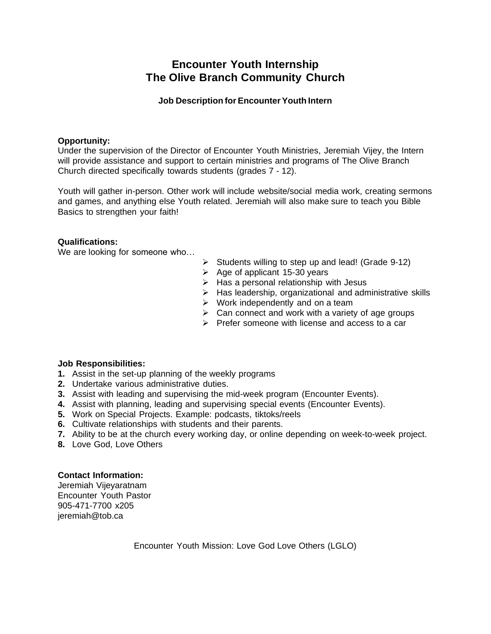## **Encounter Youth Internship The Olive Branch Community Church**

## **Job Description for Encounter Youth Intern**

### **Opportunity:**

Under the supervision of the Director of Encounter Youth Ministries, Jeremiah Vijey, the Intern will provide assistance and support to certain ministries and programs of The Olive Branch Church directed specifically towards students (grades 7 - 12).

Youth will gather in-person. Other work will include website/social media work, creating sermons and games, and anything else Youth related. Jeremiah will also make sure to teach you Bible Basics to strengthen your faith!

### **Qualifications:**

We are looking for someone who…

- $\triangleright$  Students willing to step up and lead! (Grade 9-12)
- $\geq$  Age of applicant 15-30 years
- $\triangleright$  Has a personal relationship with Jesus
- $\triangleright$  Has leadership, organizational and administrative skills
- $\triangleright$  Work independently and on a team
- $\triangleright$  Can connect and work with a variety of age groups
- $\triangleright$  Prefer someone with license and access to a car

### **Job Responsibilities:**

- **1.** Assist in the set-up planning of the weekly programs
- **2.** Undertake various administrative duties.
- **3.** Assist with leading and supervising the mid-week program (Encounter Events).
- **4.** Assist with planning, leading and supervising special events (Encounter Events).
- **5.** Work on Special Projects. Example: podcasts, tiktoks/reels
- **6.** Cultivate relationships with students and their parents.
- **7.** Ability to be at the church every working day, or online depending on week-to-week project.
- **8.** Love God, Love Others

## **Contact Information:**

Jeremiah Vijeyaratnam Encounter Youth Pastor 905-471-7700 x205 jeremiah@tob.ca

Encounter Youth Mission: Love God Love Others (LGLO)